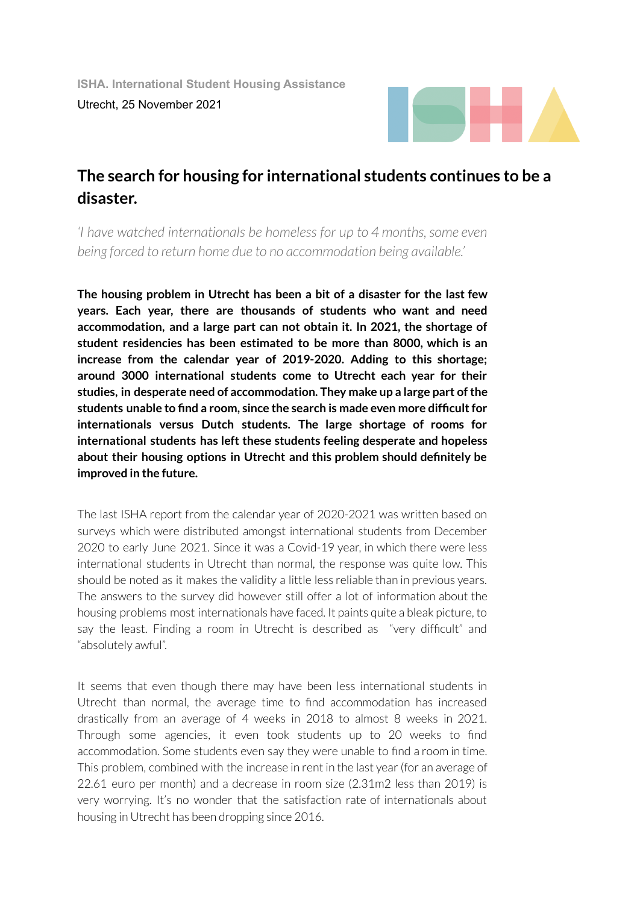

## **The search for housing for international students continues to be a disaster.**

*'I have watched internationals be homeless for up to 4 months, some even being forced to return home due to no accommodation being available.'*

**The housing problem in Utrecht has been a bit of a disaster for the last few years. Each year, there are thousands of students who want and need accommodation, and a large part can not obtain it. In 2021, the shortage of student residencies has been estimated to be more than 8000, which is an increase from the calendar year of 2019-2020. Adding to this shortage; around 3000 international students come to Utrecht each year for their studies, in desperate need of accommodation. They make up a large part ofthe students unable to find a room, since the search is made even more difficultfor internationals versus Dutch students. The large shortage of rooms for international students has left these students feeling desperate and hopeless about their housing options in Utrecht and this problem should definitely be improved in the future.**

The last ISHA report from the calendar year of 2020-2021 was written based on surveys which were distributed amongst international students from December 2020 to early June 2021. Since it was a Covid-19 year, in which there were less international students in Utrecht than normal, the response was quite low. This should be noted as it makes the validity a little less reliable than in previous years. The answers to the survey did however still offer a lot of information about the housing problems most internationals have faced. It paints quite a bleak picture, to say the least. Finding a room in Utrecht is described as "very difficult" and "absolutely awful".

It seems that even though there may have been less international students in Utrecht than normal, the average time to find accommodation has increased drastically from an average of 4 weeks in 2018 to almost 8 weeks in 2021. Through some agencies, it even took students up to 20 weeks to find accommodation. Some students even say they were unable to find a room in time. This problem, combined with the increase in rent in the last year(for an average of 22.61 euro per month) and a decrease in room size (2.31m2 less than 2019) is very worrying. It's no wonder that the satisfaction rate of internationals about housing in Utrecht has been dropping since 2016.